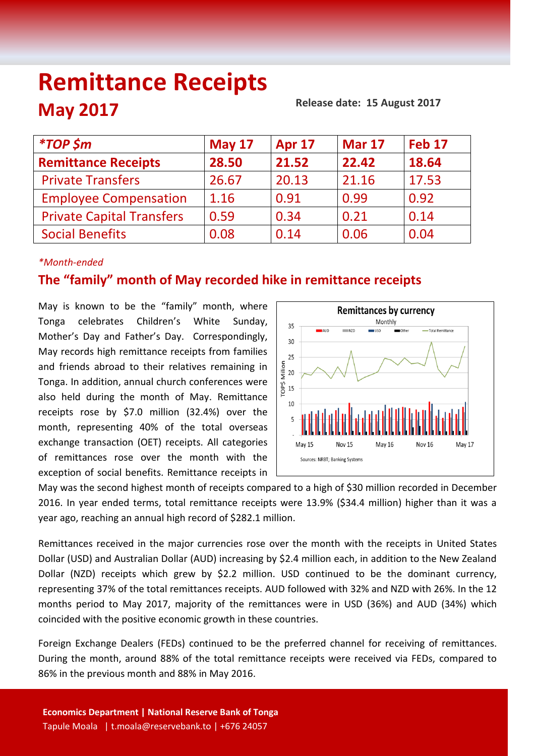# **Remittance Receipts May 2017**

 **Release date: 15 August 2017**

| <i><b>*TOP \$m</b></i>           | <b>May 17</b> | <b>Apr 17</b> | <b>Mar 17</b> | Feb <sub>17</sub> |
|----------------------------------|---------------|---------------|---------------|-------------------|
| <b>Remittance Receipts</b>       | 28.50         | 21.52         | 22.42         | 18.64             |
| <b>Private Transfers</b>         | 26.67         | 20.13         | 21.16         | 17.53             |
| <b>Employee Compensation</b>     | 1.16          | 0.91          | 0.99          | 0.92              |
| <b>Private Capital Transfers</b> | 0.59          | 0.34          | 0.21          | 0.14              |
| <b>Social Benefits</b>           | 0.08          | 0.14          | 0.06          | 0.04              |
|                                  |               |               |               |                   |

## *\*Month-ended*

# **The "family" month of May recorded hike in remittance receipts**

May is known to be the "family" month, where Tonga celebrates Children's White Sunday, Mother's Day and Father's Day. Correspondingly, May records high remittance receipts from families and friends abroad to their relatives remaining in Tonga. In addition, annual church conferences were also held during the month of May. Remittance receipts rose by \$7.0 million (32.4%) over the month, representing 40% of the total overseas exchange transaction (OET) receipts. All categories of remittances rose over the month with the exception of social benefits. Remittance receipts in



May was the second highest month of receipts compared to a high of \$30 million recorded in December 2016. In year ended terms, total remittance receipts were 13.9% (\$34.4 million) higher than it was a year ago, reaching an annual high record of \$282.1 million.

Remittances received in the major currencies rose over the month with the receipts in United States Dollar (USD) and Australian Dollar (AUD) increasing by \$2.4 million each, in addition to the New Zealand Dollar (NZD) receipts which grew by \$2.2 million. USD continued to be the dominant currency, representing 37% of the total remittances receipts. AUD followed with 32% and NZD with 26%. In the 12 months period to May 2017, majority of the remittances were in USD (36%) and AUD (34%) which coincided with the positive economic growth in these countries.

Foreign Exchange Dealers (FEDs) continued to be the preferred channel for receiving of remittances. During the month, around 88% of the total remittance receipts were received via FEDs, compared to 86% in the previous month and 88% in May 2016.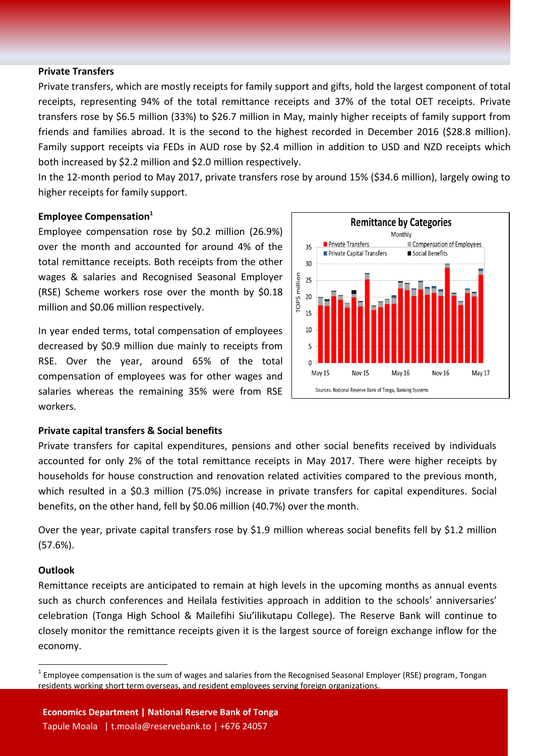#### **Private Transfers**

Private transfers, which are mostly receipts for family support and gifts, hold the largest component of total receipts, representing 94% of the total remittance receipts and 37% of the total OET receipts. Private transfers rose by \$6.5 million (33%) to \$26.7 million in May, mainly higher receipts of family support from friends and families abroad. It is the second to the highest recorded in December 2016 (\$28.8 million). Family support receipts via FEDs in AUD rose by \$2.4 million in addition to USD and NZD receipts which both increased by \$2.2 million and \$2.0 million respectively.

In the 12-month period to May 2017, private transfers rose by around 15% (\$34.6 million), largely owing to higher receipts for family support.

#### **Employee Compensation<sup>1</sup>**

Employee compensation rose by \$0.2 million (26.9%) over the month and accounted for around 4% of the total remittance receipts. Both receipts from the other wages & salaries and Recognised Seasonal Employer (RSE) Scheme workers rose over the month by \$0.18 million and \$0.06 million respectively.

In year ended terms, total compensation of employees decreased by \$0.9 million due mainly to receipts from RSE. Over the year, around 65% of the total compensation of employees was for other wages and salaries whereas the remaining 35% were from RSE workers.



#### **Private capital transfers & Social benefits**

Private transfers for capital expenditures, pensions and other social benefits received by individuals accounted for only 2% of the total remittance receipts in May 2017. There were higher receipts by households for house construction and renovation related activities compared to the previous month, which resulted in a \$0.3 million (75.0%) increase in private transfers for capital expenditures. Social benefits, on the other hand, fell by \$0.06 million (40.7%) over the month.

Over the year, private capital transfers rose by \$1.9 million whereas social benefits fell by \$1.2 million (57.6%).

#### **Outlook**

 $\overline{a}$ 

Remittance receipts are anticipated to remain at high levels in the upcoming months as annual events such as church conferences and Heilala festivities approach in addition to the schools' anniversaries' celebration (Tonga High School & Mailefihi Siu'ilikutapu College). The Reserve Bank will continue to closely monitor the remittance receipts given it is the largest source of foreign exchange inflow for the economy.

 $^1$  Employee compensation is the sum of wages and salaries from the Recognised Seasonal Employer (RSE) program, Tongan residents working short term overseas, and resident employees serving foreign organizations.